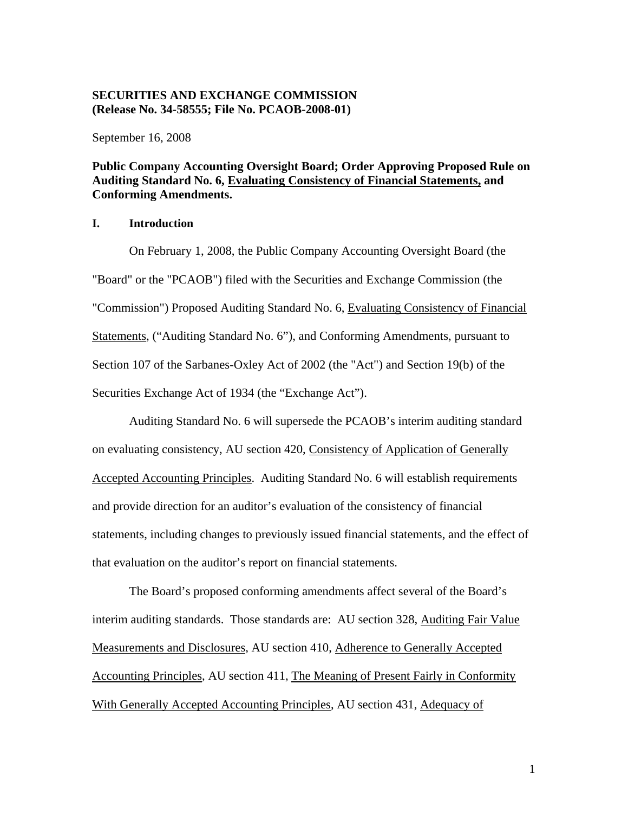## **SECURITIES AND EXCHANGE COMMISSION (Release No. 34-58555; File No. PCAOB-2008-01)**

September 16, 2008

# **Public Company Accounting Oversight Board; Order Approving Proposed Rule on Auditing Standard No. 6, Evaluating Consistency of Financial Statements, and Conforming Amendments.**

## **I. Introduction**

On February 1, 2008, the Public Company Accounting Oversight Board (the "Board" or the "PCAOB") filed with the Securities and Exchange Commission (the "Commission") Proposed Auditing Standard No. 6, Evaluating Consistency of Financial Statements, ("Auditing Standard No. 6"), and Conforming Amendments, pursuant to Section 107 of the Sarbanes-Oxley Act of 2002 (the "Act") and Section 19(b) of the Securities Exchange Act of 1934 (the "Exchange Act").

Auditing Standard No. 6 will supersede the PCAOB's interim auditing standard on evaluating consistency, AU section 420, Consistency of Application of Generally Accepted Accounting Principles. Auditing Standard No. 6 will establish requirements and provide direction for an auditor's evaluation of the consistency of financial statements, including changes to previously issued financial statements, and the effect of that evaluation on the auditor's report on financial statements.

The Board's proposed conforming amendments affect several of the Board's interim auditing standards. Those standards are: AU section 328, Auditing Fair Value Measurements and Disclosures, AU section 410, Adherence to Generally Accepted Accounting Principles, AU section 411, The Meaning of Present Fairly in Conformity With Generally Accepted Accounting Principles, AU section 431, Adequacy of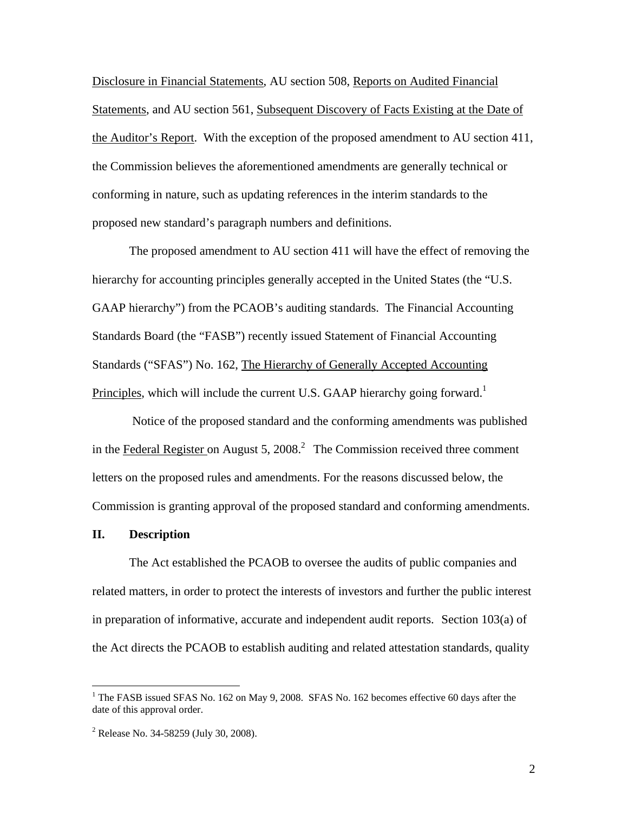Disclosure in Financial Statements, AU section 508, Reports on Audited Financial Statements, and AU section 561, Subsequent Discovery of Facts Existing at the Date of the Auditor's Report. With the exception of the proposed amendment to AU section 411, the Commission believes the aforementioned amendments are generally technical or conforming in nature, such as updating references in the interim standards to the proposed new standard's paragraph numbers and definitions.

The proposed amendment to AU section 411 will have the effect of removing the hierarchy for accounting principles generally accepted in the United States (the "U.S. GAAP hierarchy") from the PCAOB's auditing standards. The Financial Accounting Standards Board (the "FASB") recently issued Statement of Financial Accounting Standards ("SFAS") No. 162, The Hierarchy of Generally Accepted Accounting Principles, which will include the current U.S. GAAP hierarchy going forward.<sup>1</sup>

 Notice of the proposed standard and the conforming amendments was published in the Federal Register on August 5, 2008.<sup>2</sup> The Commission received three comment letters on the proposed rules and amendments. For the reasons discussed below, the Commission is granting approval of the proposed standard and conforming amendments.

#### **II. Description**

The Act established the PCAOB to oversee the audits of public companies and related matters, in order to protect the interests of investors and further the public interest in preparation of informative, accurate and independent audit reports. Section 103(a) of the Act directs the PCAOB to establish auditing and related attestation standards, quality

<sup>&</sup>lt;sup>1</sup> The FASB issued SFAS No. 162 on May 9, 2008. SFAS No. 162 becomes effective 60 days after the date of this approval order.

<sup>&</sup>lt;sup>2</sup> Release No. 34-58259 (July 30, 2008).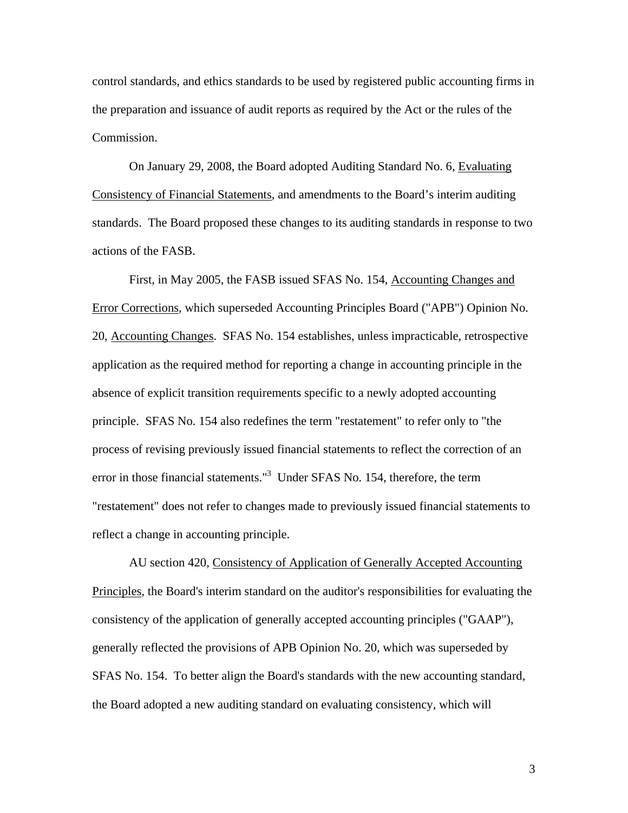control standards, and ethics standards to be used by registered public accounting firms in the preparation and issuance of audit reports as required by the Act or the rules of the Commission.

On January 29, 2008, the Board adopted Auditing Standard No. 6, Evaluating Consistency of Financial Statements, and amendments to the Board's interim auditing standards. The Board proposed these changes to its auditing standards in response to two actions of the FASB.

First, in May 2005, the FASB issued SFAS No. 154, Accounting Changes and Error Corrections, which superseded Accounting Principles Board ("APB") Opinion No. 20, Accounting Changes. SFAS No. 154 establishes, unless impracticable, retrospective application as the required method for reporting a change in accounting principle in the absence of explicit transition requirements specific to a newly adopted accounting principle. SFAS No. 154 also redefines the term "restatement" to refer only to "the process of revising previously issued financial statements to reflect the correction of an error in those financial statements."3 Under SFAS No. 154, therefore, the term "restatement" does not refer to changes made to previously issued financial statements to reflect a change in accounting principle.

AU section 420, Consistency of Application of Generally Accepted Accounting Principles*,* the Board's interim standard on the auditor's responsibilities for evaluating the consistency of the application of generally accepted accounting principles ("GAAP"), generally reflected the provisions of APB Opinion No. 20, which was superseded by SFAS No. 154. To better align the Board's standards with the new accounting standard, the Board adopted a new auditing standard on evaluating consistency, which will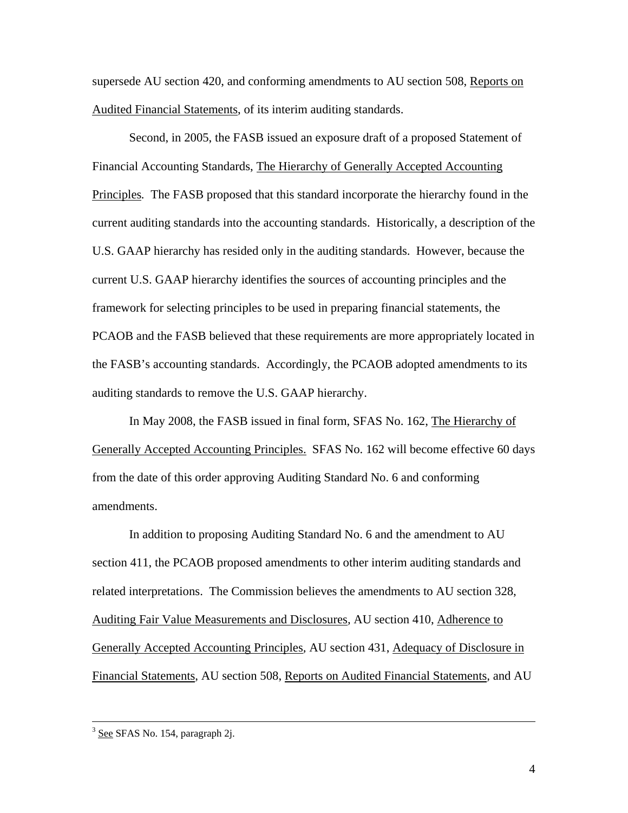supersede AU section 420, and conforming amendments to AU section 508, Reports on Audited Financial Statements, of its interim auditing standards.

Second, in 2005, the FASB issued an exposure draft of a proposed Statement of Financial Accounting Standards, The Hierarchy of Generally Accepted Accounting Principles*.* The FASB proposed that this standard incorporate the hierarchy found in the current auditing standards into the accounting standards. Historically, a description of the U.S. GAAP hierarchy has resided only in the auditing standards. However, because the current U.S. GAAP hierarchy identifies the sources of accounting principles and the framework for selecting principles to be used in preparing financial statements, the PCAOB and the FASB believed that these requirements are more appropriately located in the FASB's accounting standards. Accordingly, the PCAOB adopted amendments to its auditing standards to remove the U.S. GAAP hierarchy.

In May 2008, the FASB issued in final form, SFAS No. 162, The Hierarchy of Generally Accepted Accounting Principles. SFAS No. 162 will become effective 60 days from the date of this order approving Auditing Standard No. 6 and conforming amendments.

In addition to proposing Auditing Standard No. 6 and the amendment to AU section 411, the PCAOB proposed amendments to other interim auditing standards and related interpretations. The Commission believes the amendments to AU section 328, Auditing Fair Value Measurements and Disclosures*,* AU section 410, Adherence to Generally Accepted Accounting Principles*,* AU section 431, Adequacy of Disclosure in Financial Statements*,* AU section 508, Reports on Audited Financial Statements*,* and AU

<sup>&</sup>lt;sup>3</sup> See SFAS No. 154, paragraph 2j.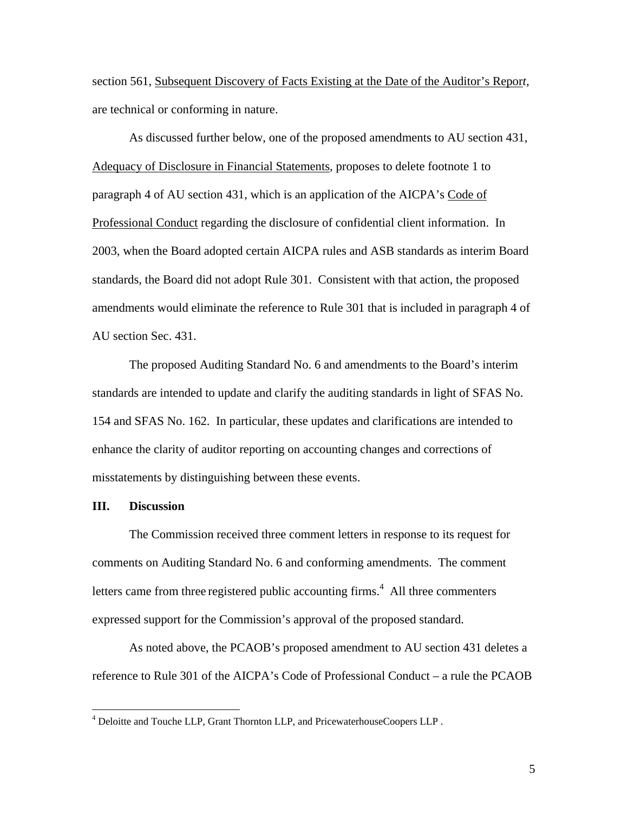section 561, Subsequent Discovery of Facts Existing at the Date of the Auditor's Repor*t,*  are technical or conforming in nature.

As discussed further below, one of the proposed amendments to AU section 431, Adequacy of Disclosure in Financial Statements, proposes to delete footnote 1 to paragraph 4 of AU section 431, which is an application of the AICPA's Code of Professional Conduct regarding the disclosure of confidential client information. In 2003, when the Board adopted certain AICPA rules and ASB standards as interim Board standards, the Board did not adopt Rule 301. Consistent with that action, the proposed amendments would eliminate the reference to Rule 301 that is included in paragraph 4 of AU section Sec. 431.

The proposed Auditing Standard No. 6 and amendments to the Board's interim standards are intended to update and clarify the auditing standards in light of SFAS No. 154 and SFAS No. 162. In particular, these updates and clarifications are intended to enhance the clarity of auditor reporting on accounting changes and corrections of misstatements by distinguishing between these events.

### **III. Discussion**

The Commission received three comment letters in response to its request for comments on Auditing Standard No. 6 and conforming amendments. The comment letters came from three registered public accounting firms.<sup>4</sup> All three commenters expressed support for the Commission's approval of the proposed standard.

As noted above, the PCAOB's proposed amendment to AU section 431 deletes a reference to Rule 301 of the AICPA's Code of Professional Conduct – a rule the PCAOB

<sup>&</sup>lt;sup>4</sup> Deloitte and Touche LLP, Grant Thornton LLP, and PricewaterhouseCoopers LLP.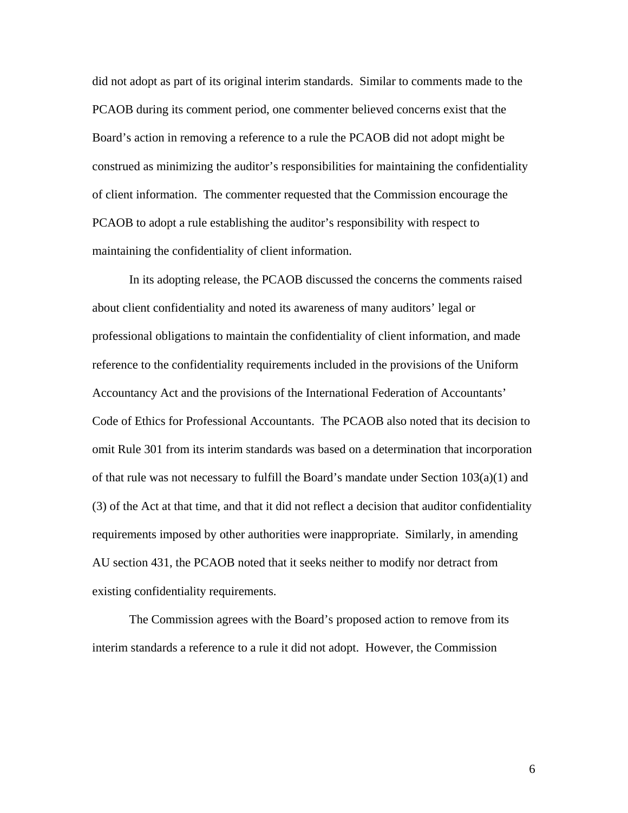did not adopt as part of its original interim standards. Similar to comments made to the PCAOB during its comment period, one commenter believed concerns exist that the Board's action in removing a reference to a rule the PCAOB did not adopt might be construed as minimizing the auditor's responsibilities for maintaining the confidentiality of client information. The commenter requested that the Commission encourage the PCAOB to adopt a rule establishing the auditor's responsibility with respect to maintaining the confidentiality of client information.

In its adopting release, the PCAOB discussed the concerns the comments raised about client confidentiality and noted its awareness of many auditors' legal or professional obligations to maintain the confidentiality of client information, and made reference to the confidentiality requirements included in the provisions of the Uniform Accountancy Act and the provisions of the International Federation of Accountants' Code of Ethics for Professional Accountants. The PCAOB also noted that its decision to omit Rule 301 from its interim standards was based on a determination that incorporation of that rule was not necessary to fulfill the Board's mandate under Section 103(a)(1) and (3) of the Act at that time, and that it did not reflect a decision that auditor confidentiality requirements imposed by other authorities were inappropriate. Similarly, in amending AU section 431, the PCAOB noted that it seeks neither to modify nor detract from existing confidentiality requirements.

The Commission agrees with the Board's proposed action to remove from its interim standards a reference to a rule it did not adopt. However, the Commission